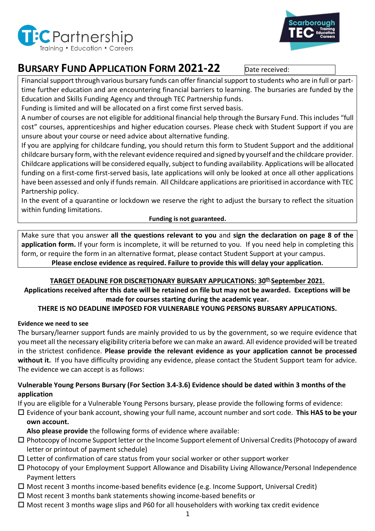



# **BURSARY FUND APPLICATION FORM 2021-22** Date received:

Financial support through various bursary funds can offer financial support to students who are in full or parttime further education and are encountering financial barriers to learning. The bursaries are funded by the Education and Skills Funding Agency and through TEC Partnership funds.

Funding is limited and will be allocated on a first come first served basis.

A number of courses are not eligible for additional financial help through the Bursary Fund. This includes "full cost" courses, apprenticeships and higher education courses. Please check with Student Support if you are unsure about your course or need advice about alternative funding.

If you are applying for childcare funding, you should return this form to Student Support and the additional childcare bursary form, with the relevant evidence required and signed by yourself and the childcare provider. Childcare applications will be considered equally, subject to funding availability. Applications will be allocated funding on a first-come first-served basis, late applications will only be looked at once all other applications have been assessed and only if funds remain. All Childcare applications are prioritised in accordance with TEC Partnership policy.

In the event of a quarantine or lockdown we reserve the right to adjust the bursary to reflect the situation within funding limitations.

# **Funding is not guaranteed.**

Make sure that you answer **all the questions relevant to you** and **sign the declaration on page 8 of the application form.** If your form is incomplete, it will be returned to you. If you need help in completing this form, or require the form in an alternative format, please contact Student Support at your campus.

**Please enclose evidence as required. Failure to provide this will delay your application.**

# **TARGET DEADLINE FOR DISCRETIONARY BURSARY APPLICATIONS: 30th September 2021.**

**Applications received after this date will be retained on file but may not be awarded. Exceptions will be made for courses starting during the academic year.**

# **THERE IS NO DEADLINE IMPOSED FOR VULNERABLE YOUNG PERSONS BURSARY APPLICATIONS.**

# **Evidence we need to see**

The bursary/learner support funds are mainly provided to us by the government, so we require evidence that you meet all the necessary eligibility criteria before we can make an award. All evidence provided will be treated in the strictest confidence. **Please provide the relevant evidence as your application cannot be processed without it.** If you have difficulty providing any evidence, please contact the Student Support team for advice. The evidence we can accept is as follows:

# **Vulnerable Young Persons Bursary (For Section 3.4-3.6) Evidence should be dated within 3 months of the application**

If you are eligible for a Vulnerable Young Persons bursary, please provide the following forms of evidence:

# Evidence of your bank account, showing your full name, account number and sort code. **This HAS to be your own account.**

**Also please provide** the following forms of evidence where available:

- $\Box$  Photocopy of Income Support letter or the Income Support element of Universal Credits (Photocopy of award letter or printout of payment schedule)
- $\Box$  Letter of confirmation of care status from your social worker or other support worker
- Photocopy of your Employment Support Allowance and Disability Living Allowance/Personal Independence Payment letters
- $\Box$  Most recent 3 months income-based benefits evidence (e.g. Income Support, Universal Credit)
- $\Box$  Most recent 3 months bank statements showing income-based benefits or
- $\Box$  Most recent 3 months wage slips and P60 for all householders with working tax credit evidence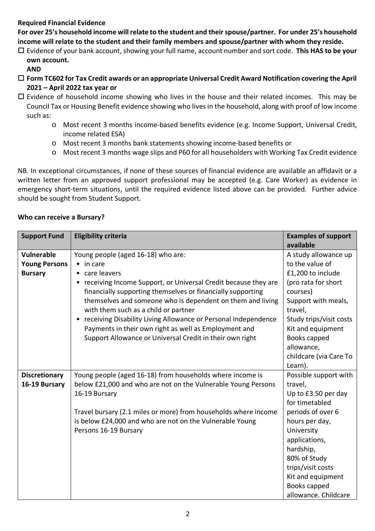## **Required Financial Evidence**

**For over 25's household income will relate to the student and their spouse/partner. For under 25's household income will relate to the student and their family members and spouse/partner with whom they reside.**

 Evidence of your bank account, showing your full name, account number and sort code. **This HAS to be your own account.**

## **AND**

- **Form TC602 for Tax Credit awards or an appropriate Universal Credit Award Notification covering the April 2021 – April 2022 tax year or**
- $\Box$  Evidence of household income showing who lives in the house and their related incomes. This may be Council Tax or Housing Benefit evidence showing who lives in the household, along with proof of low income such as:
	- o Most recent 3 months income-based benefits evidence (e.g. Income Support, Universal Credit, income related ESA)
	- o Most recent 3 months bank statements showing income-based benefits or
	- o Most recent 3 months wage slips and P60 for all householders with Working Tax Credit evidence

NB. In exceptional circumstances, if none of these sources of financial evidence are available an affidavit or a written letter from an approved support professional may be accepted (e.g. Care Worker) as evidence in emergency short-term situations, until the required evidence listed above can be provided. Further advice should be sought from Student Support.

#### **Who can receive a Bursary?**

| <b>Support Fund</b>  | <b>Eligibility criteria</b>                                      | <b>Examples of support</b><br>available |  |  |  |  |  |
|----------------------|------------------------------------------------------------------|-----------------------------------------|--|--|--|--|--|
| <b>Vulnerable</b>    | Young people (aged 16-18) who are:                               | A study allowance up                    |  |  |  |  |  |
| <b>Young Persons</b> | $\bullet$ in care                                                | to the value of                         |  |  |  |  |  |
| <b>Bursary</b>       | • care leavers                                                   | £1,200 to include                       |  |  |  |  |  |
|                      | • receiving Income Support, or Universal Credit because they are | (pro rata for short                     |  |  |  |  |  |
|                      | financially supporting themselves or financially supporting      | courses)                                |  |  |  |  |  |
|                      | themselves and someone who is dependent on them and living       | Support with meals,                     |  |  |  |  |  |
|                      | with them such as a child or partner                             | travel,                                 |  |  |  |  |  |
|                      | receiving Disability Living Allowance or Personal Independence   | Study trips/visit costs                 |  |  |  |  |  |
|                      | Payments in their own right as well as Employment and            | Kit and equipment                       |  |  |  |  |  |
|                      | Support Allowance or Universal Credit in their own right         | Books capped                            |  |  |  |  |  |
|                      |                                                                  | allowance,                              |  |  |  |  |  |
|                      |                                                                  | childcare (via Care To                  |  |  |  |  |  |
|                      |                                                                  | Learn).                                 |  |  |  |  |  |
| <b>Discretionary</b> | Young people (aged 16-18) from households where income is        | Possible support with                   |  |  |  |  |  |
| 16-19 Bursary        | below £21,000 and who are not on the Vulnerable Young Persons    | travel,                                 |  |  |  |  |  |
|                      | 16-19 Bursary                                                    | Up to £3.50 per day                     |  |  |  |  |  |
|                      |                                                                  | for timetabled                          |  |  |  |  |  |
|                      | Travel bursary (2.1 miles or more) from households where income  | periods of over 6                       |  |  |  |  |  |
|                      | is below £24,000 and who are not on the Vulnerable Young         | hours per day,                          |  |  |  |  |  |
|                      | Persons 16-19 Bursary                                            | University                              |  |  |  |  |  |
|                      |                                                                  | applications,                           |  |  |  |  |  |
|                      |                                                                  | hardship,                               |  |  |  |  |  |
|                      |                                                                  | 80% of Study                            |  |  |  |  |  |
|                      |                                                                  | trips/visit costs                       |  |  |  |  |  |
|                      |                                                                  | Kit and equipment                       |  |  |  |  |  |
|                      |                                                                  | Books capped                            |  |  |  |  |  |
|                      |                                                                  | allowance. Childcare                    |  |  |  |  |  |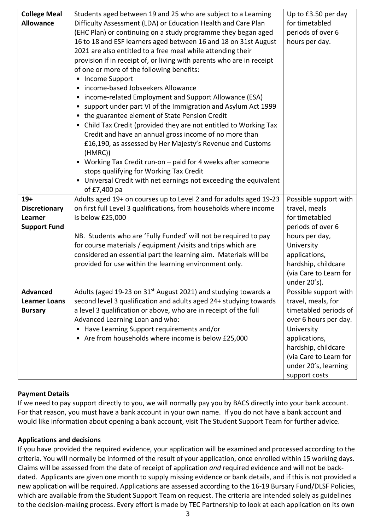| <b>College Meal</b>  | Students aged between 19 and 25 who are subject to a Learning                  | Up to £3.50 per day                 |  |  |  |  |  |  |  |  |
|----------------------|--------------------------------------------------------------------------------|-------------------------------------|--|--|--|--|--|--|--|--|
| <b>Allowance</b>     | Difficulty Assessment (LDA) or Education Health and Care Plan                  | for timetabled                      |  |  |  |  |  |  |  |  |
|                      | (EHC Plan) or continuing on a study programme they began aged                  | periods of over 6                   |  |  |  |  |  |  |  |  |
|                      | 16 to 18 and ESF learners aged between 16 and 18 on 31st August                | hours per day.                      |  |  |  |  |  |  |  |  |
|                      | 2021 are also entitled to a free meal while attending their                    |                                     |  |  |  |  |  |  |  |  |
|                      | provision if in receipt of, or living with parents who are in receipt          |                                     |  |  |  |  |  |  |  |  |
|                      | of one or more of the following benefits:                                      |                                     |  |  |  |  |  |  |  |  |
|                      | • Income Support                                                               |                                     |  |  |  |  |  |  |  |  |
|                      | • income-based Jobseekers Allowance                                            |                                     |  |  |  |  |  |  |  |  |
|                      | • income-related Employment and Support Allowance (ESA)                        |                                     |  |  |  |  |  |  |  |  |
|                      | • support under part VI of the Immigration and Asylum Act 1999                 |                                     |  |  |  |  |  |  |  |  |
|                      | • the guarantee element of State Pension Credit                                |                                     |  |  |  |  |  |  |  |  |
|                      | • Child Tax Credit (provided they are not entitled to Working Tax              |                                     |  |  |  |  |  |  |  |  |
|                      | Credit and have an annual gross income of no more than                         |                                     |  |  |  |  |  |  |  |  |
|                      | £16,190, as assessed by Her Majesty's Revenue and Customs<br>(HMRC)            |                                     |  |  |  |  |  |  |  |  |
|                      | • Working Tax Credit run-on - paid for 4 weeks after someone                   |                                     |  |  |  |  |  |  |  |  |
|                      | stops qualifying for Working Tax Credit                                        |                                     |  |  |  |  |  |  |  |  |
|                      | • Universal Credit with net earnings not exceeding the equivalent              |                                     |  |  |  |  |  |  |  |  |
|                      | of £7,400 pa                                                                   |                                     |  |  |  |  |  |  |  |  |
| $19+$                | Adults aged 19+ on courses up to Level 2 and for adults aged 19-23             | Possible support with               |  |  |  |  |  |  |  |  |
| <b>Discretionary</b> | on first full Level 3 qualifications, from households where income             | travel, meals                       |  |  |  |  |  |  |  |  |
| Learner              | is below £25,000                                                               | for timetabled                      |  |  |  |  |  |  |  |  |
| <b>Support Fund</b>  |                                                                                | periods of over 6                   |  |  |  |  |  |  |  |  |
|                      | NB. Students who are 'Fully Funded' will not be required to pay                | hours per day,                      |  |  |  |  |  |  |  |  |
|                      | for course materials / equipment / visits and trips which are                  | University                          |  |  |  |  |  |  |  |  |
|                      | considered an essential part the learning aim. Materials will be               | applications,                       |  |  |  |  |  |  |  |  |
|                      | provided for use within the learning environment only.                         | hardship, childcare                 |  |  |  |  |  |  |  |  |
|                      |                                                                                | (via Care to Learn for              |  |  |  |  |  |  |  |  |
|                      |                                                                                | under 20's).                        |  |  |  |  |  |  |  |  |
| <b>Advanced</b>      | Adults (aged 19-23 on 31 <sup>st</sup> August 2021) and studying towards a     | Possible support with               |  |  |  |  |  |  |  |  |
| <b>Learner Loans</b> | second level 3 qualification and adults aged 24+ studying towards              | travel, meals, for                  |  |  |  |  |  |  |  |  |
| <b>Bursary</b>       | a level 3 qualification or above, who are in receipt of the full               | timetabled periods of               |  |  |  |  |  |  |  |  |
|                      | Advanced Learning Loan and who:<br>• Have Learning Support requirements and/or | over 6 hours per day.<br>University |  |  |  |  |  |  |  |  |
|                      | • Are from households where income is below £25,000                            | applications,                       |  |  |  |  |  |  |  |  |
|                      |                                                                                | hardship, childcare                 |  |  |  |  |  |  |  |  |
|                      |                                                                                | (via Care to Learn for              |  |  |  |  |  |  |  |  |
|                      |                                                                                | under 20's, learning                |  |  |  |  |  |  |  |  |
|                      |                                                                                | support costs                       |  |  |  |  |  |  |  |  |

## **Payment Details**

If we need to pay support directly to you, we will normally pay you by BACS directly into your bank account. For that reason, you must have a bank account in your own name. If you do not have a bank account and would like information about opening a bank account, visit The Student Support Team for further advice.

#### **Applications and decisions**

If you have provided the required evidence, your application will be examined and processed according to the criteria. You will normally be informed of the result of your application, once enrolled within 15 working days. Claims will be assessed from the date of receipt of application *and* required evidence and will not be backdated. Applicants are given one month to supply missing evidence or bank details, and if this is not provided a new application will be required. Applications are assessed according to the 16-19 Bursary Fund/DLSF Policies, which are available from the Student Support Team on request. The criteria are intended solely as guidelines to the decision-making process. Every effort is made by TEC Partnership to look at each application on its own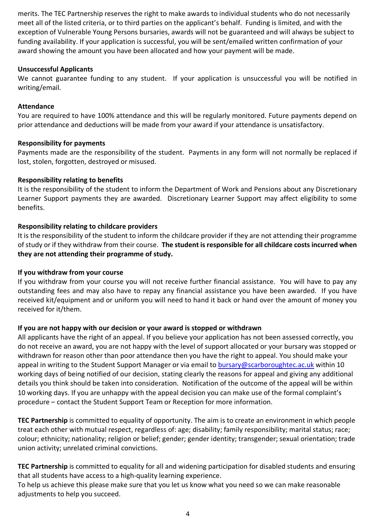merits. The TEC Partnership reserves the right to make awards to individual students who do not necessarily meet all of the listed criteria, or to third parties on the applicant's behalf. Funding is limited, and with the exception of Vulnerable Young Persons bursaries, awards will not be guaranteed and will always be subject to funding availability. If your application is successful, you will be sent/emailed written confirmation of your award showing the amount you have been allocated and how your payment will be made.

## **Unsuccessful Applicants**

We cannot guarantee funding to any student. If your application is unsuccessful you will be notified in writing/email.

#### **Attendance**

You are required to have 100% attendance and this will be regularly monitored. Future payments depend on prior attendance and deductions will be made from your award if your attendance is unsatisfactory.

#### **Responsibility for payments**

Payments made are the responsibility of the student. Payments in any form will not normally be replaced if lost, stolen, forgotten, destroyed or misused.

#### **Responsibility relating to benefits**

It is the responsibility of the student to inform the Department of Work and Pensions about any Discretionary Learner Support payments they are awarded. Discretionary Learner Support may affect eligibility to some benefits.

#### **Responsibility relating to childcare providers**

It is the responsibility of the student to inform the childcare provider if they are not attending their programme of study or if they withdraw from their course. **The student is responsible for all childcare costs incurred when they are not attending their programme of study.**

#### **If you withdraw from your course**

If you withdraw from your course you will not receive further financial assistance. You will have to pay any outstanding fees and may also have to repay any financial assistance you have been awarded. If you have received kit/equipment and or uniform you will need to hand it back or hand over the amount of money you received for it/them.

## **If you are not happy with our decision or your award is stopped or withdrawn**

All applicants have the right of an appeal. If you believe your application has not been assessed correctly, you do not receive an award, you are not happy with the level of support allocated or your bursary was stopped or withdrawn for reason other than poor attendance then you have the right to appeal. You should make your appeal in writing to the Student Support Manager or via email to [bursary@scarboroughtec.ac.uk](mailto:bursary@scarboroughtec.ac.uk) within 10 working days of being notified of our decision, stating clearly the reasons for appeal and giving any additional details you think should be taken into consideration. Notification of the outcome of the appeal will be within 10 working days. If you are unhappy with the appeal decision you can make use of the formal complaint's procedure – contact the Student Support Team or Reception for more information.

**TEC Partnership** is committed to equality of opportunity. The aim is to create an environment in which people treat each other with mutual respect, regardless of: age; disability; family responsibility; marital status; race; colour; ethnicity; nationality; religion or belief; gender; gender identity; transgender; sexual orientation; trade union activity; unrelated criminal convictions.

**TEC Partnership** is committed to equality for all and widening participation for disabled students and ensuring that all students have access to a high-quality learning experience.

To help us achieve this please make sure that you let us know what you need so we can make reasonable adjustments to help you succeed.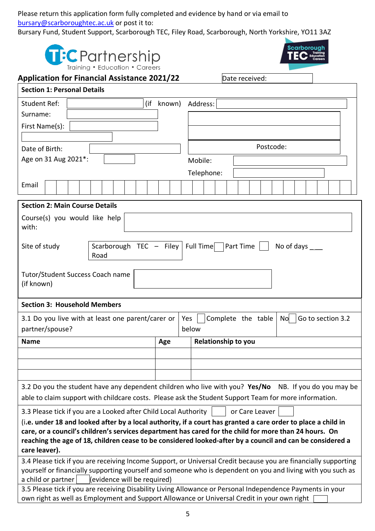Please return this application form fully completed and evidence by hand or via email to [bursary@scarboroughtec.ac.uk](mailto:bursary@scarboroughtec.ac.uk) or post it to:

Bursary Fund, Student Support, Scarborough TEC, Filey Road, Scarborough, North Yorkshire, YO11 3AZ

| <b>Scarborough</b><br>T:C Partnership<br>Training • Education • Careers                                                                                                                                                                                                                                                                               |  |  |                           |  |  |  |  |  |     |       |                            |  |                    |  |  |  |                        |  |  |  |  |
|-------------------------------------------------------------------------------------------------------------------------------------------------------------------------------------------------------------------------------------------------------------------------------------------------------------------------------------------------------|--|--|---------------------------|--|--|--|--|--|-----|-------|----------------------------|--|--------------------|--|--|--|------------------------|--|--|--|--|
| <b>Application for Financial Assistance 2021/22</b><br>Date received:                                                                                                                                                                                                                                                                                 |  |  |                           |  |  |  |  |  |     |       |                            |  |                    |  |  |  |                        |  |  |  |  |
| <b>Section 1: Personal Details</b>                                                                                                                                                                                                                                                                                                                    |  |  |                           |  |  |  |  |  |     |       |                            |  |                    |  |  |  |                        |  |  |  |  |
| <b>Student Ref:</b>                                                                                                                                                                                                                                                                                                                                   |  |  | (if<br>Address:<br>known) |  |  |  |  |  |     |       |                            |  |                    |  |  |  |                        |  |  |  |  |
| Surname:                                                                                                                                                                                                                                                                                                                                              |  |  |                           |  |  |  |  |  |     |       |                            |  |                    |  |  |  |                        |  |  |  |  |
| First Name(s):                                                                                                                                                                                                                                                                                                                                        |  |  |                           |  |  |  |  |  |     |       |                            |  |                    |  |  |  |                        |  |  |  |  |
| Date of Birth:                                                                                                                                                                                                                                                                                                                                        |  |  |                           |  |  |  |  |  |     |       |                            |  | Postcode:          |  |  |  |                        |  |  |  |  |
| Age on 31 Aug 2021*:                                                                                                                                                                                                                                                                                                                                  |  |  |                           |  |  |  |  |  |     |       | Mobile:                    |  |                    |  |  |  |                        |  |  |  |  |
|                                                                                                                                                                                                                                                                                                                                                       |  |  |                           |  |  |  |  |  |     |       | Telephone:                 |  |                    |  |  |  |                        |  |  |  |  |
| Email                                                                                                                                                                                                                                                                                                                                                 |  |  |                           |  |  |  |  |  |     |       |                            |  |                    |  |  |  |                        |  |  |  |  |
|                                                                                                                                                                                                                                                                                                                                                       |  |  |                           |  |  |  |  |  |     |       |                            |  |                    |  |  |  |                        |  |  |  |  |
| <b>Section 2: Main Course Details</b>                                                                                                                                                                                                                                                                                                                 |  |  |                           |  |  |  |  |  |     |       |                            |  |                    |  |  |  |                        |  |  |  |  |
| Course(s) you would like help<br>with:                                                                                                                                                                                                                                                                                                                |  |  |                           |  |  |  |  |  |     |       |                            |  |                    |  |  |  |                        |  |  |  |  |
| Scarborough TEC $-$ Filey<br>Site of study<br>Full Time<br>Part Time<br>No of days ____<br>Road                                                                                                                                                                                                                                                       |  |  |                           |  |  |  |  |  |     |       |                            |  |                    |  |  |  |                        |  |  |  |  |
| Tutor/Student Success Coach name<br>(if known)                                                                                                                                                                                                                                                                                                        |  |  |                           |  |  |  |  |  |     |       |                            |  |                    |  |  |  |                        |  |  |  |  |
| <b>Section 3: Household Members</b>                                                                                                                                                                                                                                                                                                                   |  |  |                           |  |  |  |  |  |     |       |                            |  |                    |  |  |  |                        |  |  |  |  |
| 3.1 Do you live with at least one parent/carer or                                                                                                                                                                                                                                                                                                     |  |  |                           |  |  |  |  |  |     | Yes   |                            |  | Complete the table |  |  |  | No   Go to section 3.2 |  |  |  |  |
| partner/spouse?                                                                                                                                                                                                                                                                                                                                       |  |  |                           |  |  |  |  |  |     | below |                            |  |                    |  |  |  |                        |  |  |  |  |
| <b>Name</b>                                                                                                                                                                                                                                                                                                                                           |  |  |                           |  |  |  |  |  | Age |       | <b>Relationship to you</b> |  |                    |  |  |  |                        |  |  |  |  |
|                                                                                                                                                                                                                                                                                                                                                       |  |  |                           |  |  |  |  |  |     |       |                            |  |                    |  |  |  |                        |  |  |  |  |
|                                                                                                                                                                                                                                                                                                                                                       |  |  |                           |  |  |  |  |  |     |       |                            |  |                    |  |  |  |                        |  |  |  |  |
|                                                                                                                                                                                                                                                                                                                                                       |  |  |                           |  |  |  |  |  |     |       |                            |  |                    |  |  |  |                        |  |  |  |  |
| 3.2 Do you the student have any dependent children who live with you? Yes/No NB. If you do you may be<br>able to claim support with childcare costs. Please ask the Student Support Team for more information.                                                                                                                                        |  |  |                           |  |  |  |  |  |     |       |                            |  |                    |  |  |  |                        |  |  |  |  |
| 3.3 Please tick if you are a Looked after Child Local Authority<br>or Care Leaver                                                                                                                                                                                                                                                                     |  |  |                           |  |  |  |  |  |     |       |                            |  |                    |  |  |  |                        |  |  |  |  |
| (i.e. under 18 and looked after by a local authority, if a court has granted a care order to place a child in<br>care, or a council's children's services department has cared for the child for more than 24 hours. On<br>reaching the age of 18, children cease to be considered looked-after by a council and can be considered a<br>care leaver). |  |  |                           |  |  |  |  |  |     |       |                            |  |                    |  |  |  |                        |  |  |  |  |
| 3.4 Please tick if you are receiving Income Support, or Universal Credit because you are financially supporting<br>yourself or financially supporting yourself and someone who is dependent on you and living with you such as<br>(evidence will be required)<br>a child or partner                                                                   |  |  |                           |  |  |  |  |  |     |       |                            |  |                    |  |  |  |                        |  |  |  |  |
| 3.5 Please tick if you are receiving Disability Living Allowance or Personal Independence Payments in your                                                                                                                                                                                                                                            |  |  |                           |  |  |  |  |  |     |       |                            |  |                    |  |  |  |                        |  |  |  |  |
| own right as well as Employment and Support Allowance or Universal Credit in your own right                                                                                                                                                                                                                                                           |  |  |                           |  |  |  |  |  |     |       |                            |  |                    |  |  |  |                        |  |  |  |  |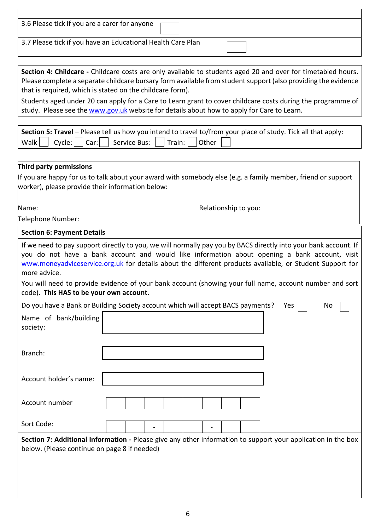| 3.6 Please tick if you are a carer for anyone    |                                                                                                                                                                                                                                                                                                                                                                                                                                                                                                         |           |
|--------------------------------------------------|---------------------------------------------------------------------------------------------------------------------------------------------------------------------------------------------------------------------------------------------------------------------------------------------------------------------------------------------------------------------------------------------------------------------------------------------------------------------------------------------------------|-----------|
|                                                  | 3.7 Please tick if you have an Educational Health Care Plan                                                                                                                                                                                                                                                                                                                                                                                                                                             |           |
|                                                  |                                                                                                                                                                                                                                                                                                                                                                                                                                                                                                         |           |
|                                                  | Section 4: Childcare - Childcare costs are only available to students aged 20 and over for timetabled hours.<br>Please complete a separate childcare bursary form available from student support (also providing the evidence<br>that is required, which is stated on the childcare form).<br>Students aged under 20 can apply for a Care to Learn grant to cover childcare costs during the programme of<br>study. Please see the www.gov.uk website for details about how to apply for Care to Learn. |           |
| Walk<br>Cycle:<br>Car:                           | Section 5: Travel - Please tell us how you intend to travel to/from your place of study. Tick all that apply:<br>Train: $ $<br>Other<br>Service Bus:                                                                                                                                                                                                                                                                                                                                                    |           |
|                                                  |                                                                                                                                                                                                                                                                                                                                                                                                                                                                                                         |           |
| Third party permissions                          |                                                                                                                                                                                                                                                                                                                                                                                                                                                                                                         |           |
| worker), please provide their information below: | If you are happy for us to talk about your award with somebody else (e.g. a family member, friend or support                                                                                                                                                                                                                                                                                                                                                                                            |           |
| Name:                                            | Relationship to you:                                                                                                                                                                                                                                                                                                                                                                                                                                                                                    |           |
| Telephone Number:                                |                                                                                                                                                                                                                                                                                                                                                                                                                                                                                                         |           |
| <b>Section 6: Payment Details</b>                |                                                                                                                                                                                                                                                                                                                                                                                                                                                                                                         |           |
| more advice.                                     | If we need to pay support directly to you, we will normally pay you by BACS directly into your bank account. If<br>you do not have a bank account and would like information about opening a bank account, visit<br>www.moneyadviceservice.org.uk for details about the different products available, or Student Support for<br>You will need to provide evidence of your bank account (showing your full name, account number and sort                                                                 |           |
| code). This HAS to be your own account.          |                                                                                                                                                                                                                                                                                                                                                                                                                                                                                                         |           |
|                                                  | Do you have a Bank or Building Society account which will accept BACS payments?                                                                                                                                                                                                                                                                                                                                                                                                                         | Yes<br>No |
| Name of bank/building<br>society:                |                                                                                                                                                                                                                                                                                                                                                                                                                                                                                                         |           |
| Branch:                                          |                                                                                                                                                                                                                                                                                                                                                                                                                                                                                                         |           |
| Account holder's name:                           |                                                                                                                                                                                                                                                                                                                                                                                                                                                                                                         |           |
| Account number                                   |                                                                                                                                                                                                                                                                                                                                                                                                                                                                                                         |           |
| Sort Code:                                       |                                                                                                                                                                                                                                                                                                                                                                                                                                                                                                         |           |
| below. (Please continue on page 8 if needed)     | Section 7: Additional Information - Please give any other information to support your application in the box                                                                                                                                                                                                                                                                                                                                                                                            |           |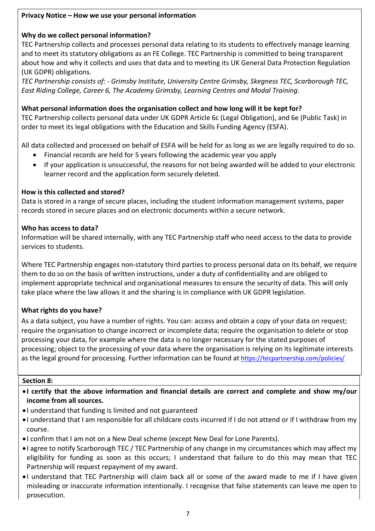## **Privacy Notice – How we use your personal information**

## **Why do we collect personal information?**

TEC Partnership collects and processes personal data relating to its students to effectively manage learning and to meet its statutory obligations as an FE College. TEC Partnership is committed to being transparent about how and why it collects and uses that data and to meeting its UK General Data Protection Regulation (UK GDPR) obligations.

*TEC Partnership consists of: - Grimsby Institute, University Centre Grimsby, Skegness TEC, Scarborough TEC, East Riding College, Career 6, The Academy Grimsby, Learning Centres and Modal Training.*

#### **What personal information does the organisation collect and how long will it be kept for?**

TEC Partnership collects personal data under UK GDPR Article 6c (Legal Obligation), and 6e (Public Task) in order to meet its legal obligations with the Education and Skills Funding Agency (ESFA).

All data collected and processed on behalf of ESFA will be held for as long as we are legally required to do so.

- Financial records are held for 5 years following the academic year you apply
- If your application is unsuccessful, the reasons for not being awarded will be added to your electronic learner record and the application form securely deleted.

#### **How is this collected and stored?**

Data is stored in a range of secure places, including the student information management systems, paper records stored in secure places and on electronic documents within a secure network.

#### **Who has access to data?**

Information will be shared internally, with any TEC Partnership staff who need access to the data to provide services to students.

Where TEC Partnership engages non-statutory third parties to process personal data on its behalf, we require them to do so on the basis of written instructions, under a duty of confidentiality and are obliged to implement appropriate technical and organisational measures to ensure the security of data. This will only take place where the law allows it and the sharing is in compliance with UK GDPR legislation.

#### **What rights do you have?**

As a data subject, you have a number of rights. You can: access and obtain a copy of your data on request; require the organisation to change incorrect or incomplete data; require the organisation to delete or stop processing your data, for example where the data is no longer necessary for the stated purposes of processing; object to the processing of your data where the organisation is relying on its legitimate interests as the legal ground for processing. Further information can be found at <https://tecpartnership.com/policies/>

#### **Section 8:**

- **I certify that the above information and financial details are correct and complete and show my/our income from all sources.**
- I understand that funding is limited and not guaranteed
- I understand that I am responsible for all childcare costs incurred if I do not attend or if I withdraw from my course.
- I confirm that I am not on a New Deal scheme (except New Deal for Lone Parents).
- I agree to notify Scarborough TEC / TEC Partnership of any change in my circumstances which may affect my eligibility for funding as soon as this occurs; I understand that failure to do this may mean that TEC Partnership will request repayment of my award.
- I understand that TEC Partnership will claim back all or some of the award made to me if I have given misleading or inaccurate information intentionally. I recognise that false statements can leave me open to prosecution.